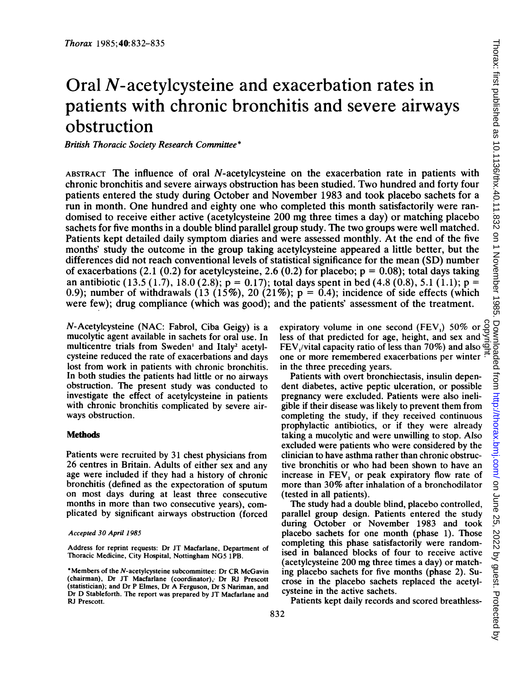# Oral N-acetylcysteine and exacerbation rates in patients with chronic bronchitis and severe airways obstruction

British Thoracic Society Research Committee\*

ABSTRACT The influence of oral N-acetylcysteine on the exacerbation rate in patients with chronic bronchitis and severe airways obstruction has been studied. Two hundred and forty four patients entered the study during October and November 1983 and took placebo sachets for a run in month. One hundred and eighty one who completed this month satisfactorily were randomised to receive either active (acetylcysteine 200 mg three times <sup>a</sup> day) or matching placebo sachets for five months in a double blind parallel group study. The two groups were well matched. Patients kept detailed daily symptom diaries and were assessed monthly. At the end of the five months' study the outcome in the group taking acetylcysteine appeared a little better, but the differences did not reach conventional levels of statistical significance for the mean (SD) number of exacerbations (2.1 (0.2) for acetylcysteine, 2.6 (0.2) for placebo;  $p = 0.08$ ); total days taking an antibiotic (13.5 (1.7), 18.0 (2.8);  $p = 0.17$ ; total days spent in bed (4.8 (0.8), 5.1 (1.1);  $p =$ 0.9); number of withdrawals (13 (15%), 20 (21%);  $p = 0.4$ ); incidence of side effects (which were few); drug compliance (which was good); and the patients' assessment of the treatment.

N-Acetylcysteine (NAC: Fabrol, Ciba Geigy) is a mucolytic agent available in sachets for oral use. In multicentre trials from Sweden' and Italy<sup>2</sup> acetylcysteine reduced the rate of exacerbations and days lost from work in patients with chronic bronchitis. In both studies the patients had little or no airways obstruction. The present study was conducted to investigate the effect of acetylcysteine in patients with chronic bronchitis complicated by severe airways obstruction.

## **Methods**

Patients were recruited by 31 chest physicians from 26 centres in Britain. Adults of either sex and any age were included if they had a history of chronic bronchitis (defined as the expectoration of sputum on most days during at least three consecutive months in more than two consecutive years), complicated by significant airways obstruction (forced

## Accepted 30 April 1985

Address for reprint requests: Dr JT Macfarlane, Department of Thoracic Medicine, City Hospital, Nottingham NG5 1PB.

\*Members of the N-acetylcysteine subcommittee: Dr CR McGavin (chairman), Dr JT Macfarlane (coordinator), Dr RJ Prescott (statistician); and Dr P Elmes, Dr A Ferguson, Dr <sup>S</sup> Nariman, and Dr D Stableforth. The report was prepared by JT Macfarlane and RJ Prescott.

expiratory volume in one second  $(FEV_1)$  50% or less of that predicted for age, height, and sex and FEV,/vital capacity ratio of less than 70%) and also  $\Phi$ one or more remembered exacerbations per winter  $\frac{3}{12}$ in the three preceding years. copyright.

Patients with overt bronchiectasis, insulin dependent diabetes, active peptic ulceration, or possible pregnancy were excluded. Patients were also ineligible if their disease was likely to prevent them from completing the study, if they received continuous prophylactic antibiotics, or if they were already taking a mucolytic and were unwilling to stop. Also excluded were patients who were considered by the clinician to have asthma rather than chronic obstructive bronchitis or who had been shown to have an increase in FEV, or peak expiratory flow rate of more than 30% after inhalation of <sup>a</sup> bronchodilator (tested in all patients).

The study had a double blind, placebo controlled, parallel group design. Patients entered the study during October or November 1983 and took placebo sachets for one month (phase 1). Those completing this phase satisfactorily were randomised in balanced blocks of four to receive active (acetylcysteine 200 mg three times a day) or matching placebo sachets for five months (phase 2). Sucrose in the placebo sachets replaced the acetylcysteine in the active sachets.

Patients kept daily records and scored breathless-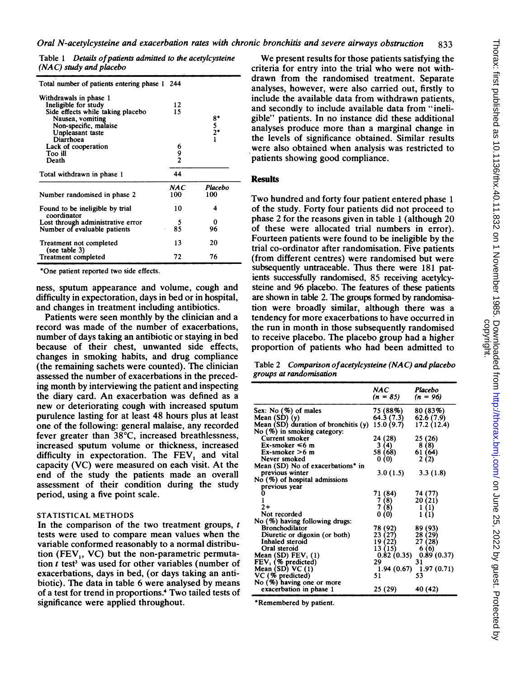Table 1 Details of patients admitted to the acetylcysteine (NAC) study and placebo

| Total number of patients entering phase 1 244                                                                                                                                            |             |                            |
|------------------------------------------------------------------------------------------------------------------------------------------------------------------------------------------|-------------|----------------------------|
| Withdrawals in phase 1<br>Ineligible for study<br>Side effects while taking placebo<br>Nausea, vomiting<br>Non-specific, malaise<br>Unpleasant taste<br>Diarrhoea<br>Lack of cooperation | 12<br>15    | $8^{*}_{5}$<br>$2^{*}_{1}$ |
| Too ill<br>Death                                                                                                                                                                         | 6<br>9<br>2 |                            |
| Total withdrawn in phase 1                                                                                                                                                               | 44          |                            |
| Number randomised in phase 2                                                                                                                                                             | NAC<br>100  | Placebo<br>100             |
| Found to be ineligible by trial<br>coordinator                                                                                                                                           | 10          | 4                          |
| Lost through administrative error<br>Number of evaluable patients                                                                                                                        | 5<br>85     | 0<br>96                    |
| Treatment not completed<br>(see table $3$ )                                                                                                                                              | 13          | 20                         |
| <b>Treatment completed</b>                                                                                                                                                               | 72          | 76                         |

\*One patient reported two side effects.

ness, sputum appearance and volume, cough and difficulty in expectoration, days in bed or in hospital, and changes in treatment including antibiotics.

Patients were seen monthly by the clinician and a record was made of the number of exacerbations, number of days taking an antibiotic or staying in bed because of their chest, unwanted side effects, changes in smoking habits, and drug compliance (the remaining sachets were counted). The clinician assessed the number of exacerbations in the preceding month by interviewing the patient and inspecting the diary card. An exacerbation was defined as <sup>a</sup> new or deteriorating cough with increased sputum purulence lasting for at least 48 hours plus at least one of the following: general malaise, any recorded fever greater than 38°C, increased breathlessness, increased sputum volume or thickness, increased difficulty in expectoration. The FEV, and vital capacity (VC) were measured on each visit. At the end of the study the patients made an overall assessment of their condition during the study period, using a five point scale.

# STATISTICAL METHODS

In the comparison of the two treatment groups,  $t$ tests were used to compare mean values when the variable conformed reasonably to a normal distribution (FEV<sub>1</sub>, VC) but the non-parametric permutation  $t$  test<sup>3</sup> was used for other variables (number of exacerbations, days in bed, (or days taking an antibiotic). The data in table 6 were analysed by means of <sup>a</sup> test for trend in proportions.4 Two tailed tests of significance were applied throughout.

We present results for those patients satisfying the criteria for entry into the trial who were not withdrawn from the randomised treatment. Separate analyses, however, were also carried out, firstly to include the available data from withdrawn patients, and secondly to include available data from "ineligible" patients. In no instance did these additional analyses produce more than a marginal change in the levels of significance obtained. Similar results were also obtained when analysis was restricted to patients showing good compliance.

### **Results**

Two hundred and forty four patient entered phase <sup>1</sup> of the study. Forty four patients did not proceed to phase 2 for the reasons given in table <sup>1</sup> (although 20 of these were allocated trial numbers in error). Fourteen patients were found to be ineligible by the trial co-ordinator after randomisation. Five patients (from different centres) were randomised but were subsequently untraceable. Thus there were 181 patients successfully randomised, 85 receiving acetylcysteine and 96 placebo. The features of these patients are shown in table 2. The groups formed by randomisation were broadly similar, although there was a tendency for more exacerbations to have occurred in the run in month in those subsequently randomised to receive placebo. The placebo group had a higher proportion of patients who had been admitted to

Table 2 Comparison of acetylcysteine (NAC) and placebo groups at randomisation

|                                               | NAC<br>$(n = 85)$ | Placebo<br>$(n = 96)$ |
|-----------------------------------------------|-------------------|-----------------------|
| Sex: No (%) of males                          | 75 (88%)          | 80 (83%)              |
| Mean $(SD)(y)$                                | 64.3 (7.3)        | 62.6(7.9)             |
| Mean $(SD)$ duration of bronchitis $(y)$      | 15.0(9.7)         | 17.2 (12.4)           |
| No (%) in smoking category:                   |                   |                       |
| Current smoker                                | 24 (28)           | 25 (26)               |
| $Ex\text{-smoker} \leq 6$ m                   | 3(4)              | 8 (8)                 |
| $Ex\text{-smoker} > 6$ m                      | 58 (68)           | 61 (64)               |
| Never smoked                                  | 0(0)              | 2(2)                  |
| Mean (SD) No of exacerbations <sup>*</sup> in |                   |                       |
| previous winter                               | 3.0(1.5)          | 3.3(1.8)              |
| No (%) of hospital admissions                 |                   |                       |
| previous year                                 |                   |                       |
|                                               | 71 (84)           | 74 (77)               |
|                                               | 7 (8)             | 20(21)                |
| 2+                                            | (8)               | 1 (1)                 |
| Not recorded                                  | 0 (0)             | 1(1)                  |
| No (%) having following drugs:                |                   |                       |
| Bronchodilator                                | 78 (92)           | 89 (93)               |
| Diuretic or digoxin (or both)                 | 23 (27)           | 28 (29)               |
| Inhaled steroid                               | 19 (22)           | 27 (28)               |
| Oral steroid                                  | 13 (15)           | 6 (6)                 |
| Mean (SD) $FEV_1(1)$                          | 0.82(0.35)        | 0.89(0.37)            |
| $FEV1$ (% predicted)                          | 29                | 31                    |
| Mean (SD) VC (1)                              | 1.94 (0.67)       | 1.97(0.71)            |
| VC (% predicted)                              | 51                | 53                    |
| No (%) having one or more                     |                   |                       |
| exacerbation in phase 1                       | 25 (29)           | 40 (42)               |

\*Remembered by patient.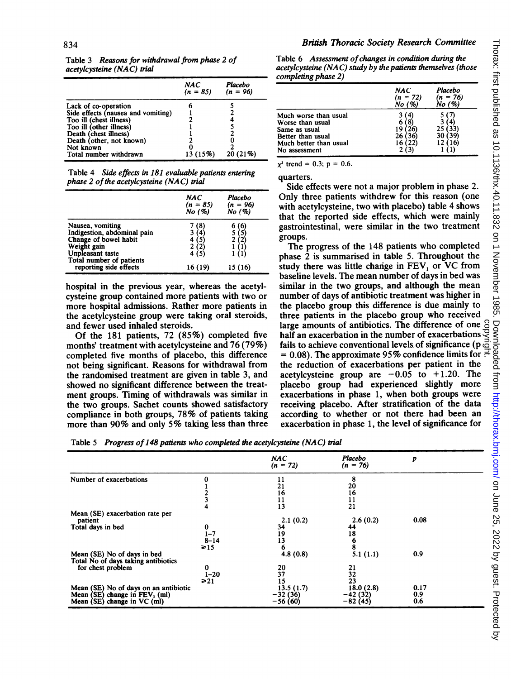| acetylcysteine (NAC) trial         |                   |                       |  |
|------------------------------------|-------------------|-----------------------|--|
|                                    | NAC<br>$(n = 85)$ | Placebo<br>$(n = 96)$ |  |
| Lack of co-operation               |                   |                       |  |
| Side effects (nausea and vomiting) |                   |                       |  |
| Too ill (chest illness)            |                   |                       |  |
| Too ill (other illness)            |                   |                       |  |
| Death (chest illness)              |                   |                       |  |
| Death (other, not known)           |                   |                       |  |
| Not known                          |                   |                       |  |
| Total number withdrawn             | 13 (15%)          | 20 (21%)              |  |

Table 3 Reasons for withdrawal from phase 2 of

Table 4 Side effects in 181 evaluable patients entering phase  $2$  of the acetylcysteine (NAC) trial

|                                                                                                             | NAC<br>$(n = 85)$<br>No (%) | Placebo<br>(n = 96)<br>No (%) |
|-------------------------------------------------------------------------------------------------------------|-----------------------------|-------------------------------|
| Nausea, vomiting<br>Indigestion, abdominal pain<br>Change of bowel habit<br>Weight gain<br>Unpleasant taste | 8<br>4<br>5                 |                               |
| Total number of patients<br>reporting side effects                                                          | 16 (19)                     | 15 (16)                       |

hospital in the previous year, whereas the acetylcysteine group contained more patients with two or more hospital admissions. Rather more patients in the acetylcysteine group were taking oral steroids, and fewer used inhaled steroids.

Of the 181 patients, 72 (85%) completed five months' treatment with acetylcysteine and 76 (79%) completed five months of placebo, this difference not being significant. Reasons for withdrawal from the randomised treatment are given in table 3, and showed no significant difference between the treatment groups. Timing of withdrawals was similar in the two groups. Sachet counts showed satisfactory compliance in both groups, 78% of patients taking more than 90% and only 5% taking less than three

Table 6 Assessment of changes in condition during the acetylcysteine (NAC) study by the patients themselves (those completing phase 2)

|                                                                                                                            | NAC<br>$(n = 72)$<br>No (%) | Placebo<br>$(n = 76)$<br>No $(\%)$ |
|----------------------------------------------------------------------------------------------------------------------------|-----------------------------|------------------------------------|
| Much worse than usual<br>Worse than usual<br>Same as usual<br>Better than usual<br>Much better than usual<br>No assessment |                             | 25<br>30                           |

 $x^2$  trend = 0.3; p = 0.6.

quarters.

Side effects were not a major problem in phase 2. Only three patients withdrew for this reason (one with acetylcysteine, two with placebo) table 4 shows that the reported side effects, which were mainly gastrointestinal, were similar in the two treatment groups.

The progress of the 148 patients who completed phase 2 is summarised in table 5. Throughout the study there was little change in FEV, or VC from baseline levels. The mean number of days in bed was similar in the two groups, and although the mean number of days of antibiotic treatment was higher in the placebo group this difference is due mainly to three patients in the placebo group who received large amounts of antibiotics. The difference of one  $\beta$ half an exacerbation in the number of exacerbations fails to achieve conventional levels of significance ( $p\bar{\phi}$  $= 0.08$ ). The approximate 95% confidence limits for  $\frac{1}{10}$ the reduction of exacerbations per patient in the acetylcysteine group are  $-0.05$  to  $+1.20$ . The placebo group had experienced slightly more exacerbations in phase 1, when both groups were receiving placebo. After stratification of the data according to whether or not there had been an exacerbation in phase 1, the level of significance for

Table 5 Progress of 148 patients who completed the acetylcysteine (NAC) trial

|                                                                    |           | <b>NAC</b>      | Placebo                                     | p    |  |
|--------------------------------------------------------------------|-----------|-----------------|---------------------------------------------|------|--|
|                                                                    |           | $(n = 72)$      | $(n = 76)$                                  |      |  |
| Number of exacerbations                                            |           | 11              | 8                                           |      |  |
|                                                                    |           | 21              | 20                                          |      |  |
|                                                                    |           | 16              | 16                                          |      |  |
|                                                                    |           | 11              |                                             |      |  |
|                                                                    |           | 13              | $\frac{11}{21}$                             |      |  |
| Mean (SE) exacerbation rate per                                    |           |                 |                                             |      |  |
| patient                                                            |           | 2.1(0.2)        | 2.6(0.2)                                    | 0.08 |  |
| Total days in bed                                                  | 0         | 34              | 44                                          |      |  |
|                                                                    | $1 - 7$   | 19              |                                             |      |  |
|                                                                    | $8 - 14$  | 13              |                                             |      |  |
|                                                                    | $\geq 15$ | 6               | $\begin{array}{c} 18 \\ 6 \\ 8 \end{array}$ |      |  |
| Mean (SE) No of days in bed<br>Total No of days taking antibiotics |           | 4.8(0.8)        | 5.1(1.1)                                    | 0.9  |  |
| for chest problem                                                  | 0         |                 |                                             |      |  |
|                                                                    | $1 - 20$  | $\frac{20}{37}$ | $\frac{21}{32}$<br>23                       |      |  |
|                                                                    | $\geq 21$ | 15              |                                             |      |  |
| Mean (SE) No of days on an antibiotic                              |           | 13.5 (1.7)      | 18.0(2.8)                                   | 0.17 |  |
| Mean $(SE)$ change in $FEV1$ (ml)                                  |           | $-32(36)$       | $-42(32)$                                   | 0.9  |  |
| Mean (SE) change in VC (ml)                                        |           | $-56(60)$       | $-82(45)$                                   | 0.6  |  |